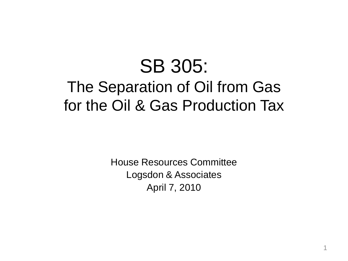## SB 305: The Separation of Oil from Gas for the Oil & Gas Production Tax

House Resources Committee Logsdon & Associates April 7, 2010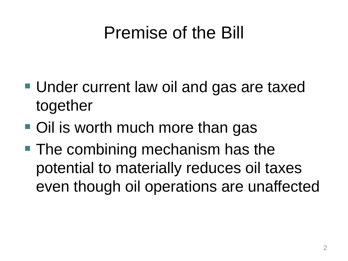## Premise of the Bill

- Under current law oil and gas are taxed together
- Oil is worth much more than gas
- The combining mechanism has the potential to materially reduces oil taxes even though oil operations are unaffected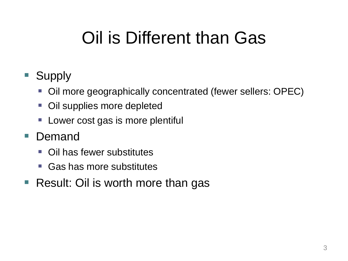## Oil is Different than Gas

### ■ Supply

- Oil more geographically concentrated (fewer sellers: OPEC)
- **Oil supplies more depleted**
- **Lower cost gas is more plentiful**
- **Demand** 
	- Oil has fewer substitutes
	- Gas has more substitutes
- Result: Oil is worth more than gas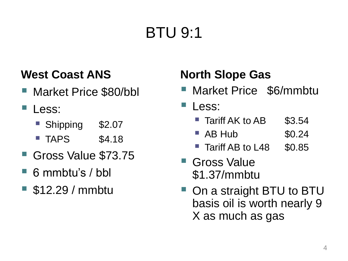## BTU 9:1

### **West Coast ANS**

- Market Price \$80/bbl
- Less:
	- Shipping \$2.07
	- $\blacksquare$  TAPS  $\$4.18$
- Gross Value \$73.75
- 6 mmbtu's / bbl
- \$12.29 / mmbtu

### **North Slope Gas**

- Market Price \$6/mmbtu
- Less:
	- **Tariff AK to AB \$3.54**
	- $\blacksquare$  AB Hub  $$0.24$
	- Tariff AB to L48 \$0.85
- Gross Value \$1.37/mmbtu
- On a straight BTU to BTU basis oil is worth nearly 9 X as much as gas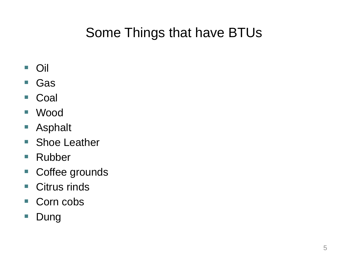### Some Things that have BTUs

- Oil
- Gas
- Coal
- Wood
- Asphalt
- Shoe Leather
- Rubber
- Coffee grounds
- Citrus rinds
- Corn cobs
- **Dung**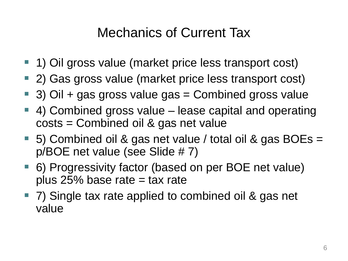### Mechanics of Current Tax

- 1) Oil gross value (market price less transport cost)
- 2) Gas gross value (market price less transport cost)
- $\blacksquare$  3) Oil + gas gross value gas = Combined gross value
- 4) Combined gross value lease capital and operating costs = Combined oil & gas net value
- 5) Combined oil & gas net value / total oil & gas BOEs = p/BOE net value (see Slide # 7)
- 6) Progressivity factor (based on per BOE net value) plus  $25%$  base rate = tax rate
- 7) Single tax rate applied to combined oil & gas net value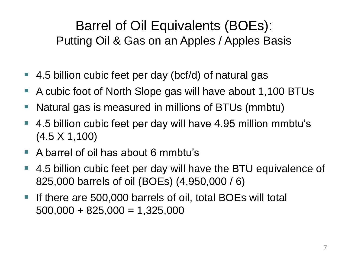### Barrel of Oil Equivalents (BOEs): Putting Oil & Gas on an Apples / Apples Basis

- 4.5 billion cubic feet per day (bcf/d) of natural gas
- A cubic foot of North Slope gas will have about 1,100 BTUs
- Natural gas is measured in millions of BTUs (mmbtu)
- 4.5 billion cubic feet per day will have 4.95 million mmbtu's (4.5 X 1,100)
- A barrel of oil has about 6 mmbtu's
- 4.5 billion cubic feet per day will have the BTU equivalence of 825,000 barrels of oil (BOEs) (4,950,000 / 6)
- **If there are 500,000 barrels of oil, total BOEs will total**  $500,000 + 825,000 = 1,325,000$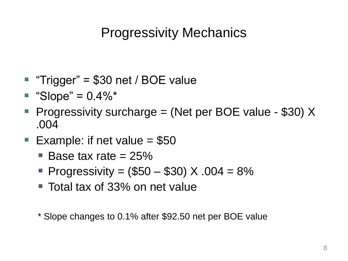### Progressivity Mechanics

- "Trigger" = \$30 net / BOE value
- $\blacksquare$  "Slope" = 0.4%\*
- **Progressivity surcharge = (Net per BOE value \$30) X** .004
- **Example: if net value = \$50** 
	- $\blacksquare$  Base tax rate = 25%
	- **Progressivity = (\$50 \$30) X .004 = 8%**
	- Total tax of 33% on net value
	- \* Slope changes to 0.1% after \$92.50 net per BOE value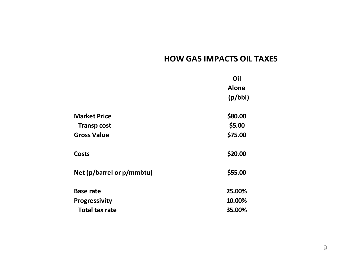|                           | Oil          |
|---------------------------|--------------|
|                           | <b>Alone</b> |
|                           | (p/bbl)      |
| <b>Market Price</b>       | \$80.00      |
| <b>Transp cost</b>        | \$5.00       |
| <b>Gross Value</b>        | \$75.00      |
| <b>Costs</b>              | \$20.00      |
| Net (p/barrel or p/mmbtu) | \$55.00      |
| <b>Base rate</b>          | 25.00%       |
| <b>Progressivity</b>      | 10.00%       |
| <b>Total tax rate</b>     | 35.00%       |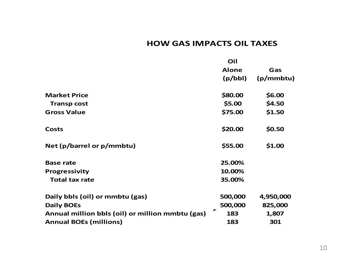|                                                  | Oil          |           |
|--------------------------------------------------|--------------|-----------|
|                                                  | <b>Alone</b> | Gas       |
|                                                  | (p/bbl)      | (p/mmbtu) |
| <b>Market Price</b>                              | \$80.00      | \$6.00    |
| <b>Transp cost</b>                               | \$5.00       | \$4.50    |
| <b>Gross Value</b>                               | \$75.00      | \$1.50    |
| <b>Costs</b>                                     | \$20.00      | \$0.50    |
| Net (p/barrel or p/mmbtu)                        | \$55.00      | \$1.00    |
| <b>Base rate</b>                                 | 25.00%       |           |
| <b>Progressivity</b>                             | 10.00%       |           |
| <b>Total tax rate</b>                            | 35.00%       |           |
| Daily bbls (oil) or mmbtu (gas)                  | 500,000      | 4,950,000 |
| <b>Daily BOEs</b>                                | 500,000      | 825,000   |
| Annual million bbls (oil) or million mmbtu (gas) | 183          | 1,807     |
| <b>Annual BOEs (millions)</b>                    | 183          | 301       |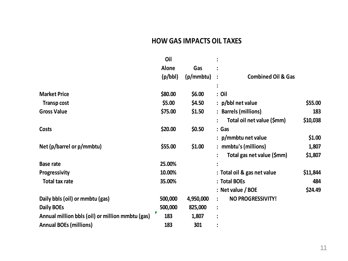|                                                  | Oil          |           |                                    |          |
|--------------------------------------------------|--------------|-----------|------------------------------------|----------|
|                                                  | <b>Alone</b> | Gas       |                                    |          |
|                                                  | (p/bbl)      | (p/mmbtu) | <b>Combined Oil &amp; Gas</b><br>: |          |
|                                                  |              |           |                                    |          |
| <b>Market Price</b>                              | \$80.00      | \$6.00    | $:$ Oil                            |          |
| <b>Transp cost</b>                               | \$5.00       | \$4.50    | : p/bbl net value                  | \$55.00  |
| <b>Gross Value</b>                               | \$75.00      | \$1.50    | : Barrels (millions)               | 183      |
|                                                  |              |           | Total oil net value (\$mm)         | \$10,038 |
| <b>Costs</b>                                     | \$20.00      | \$0.50    | : Gas                              |          |
|                                                  |              |           | $: p/m$ mbtu net value             | \$1.00   |
| Net (p/barrel or p/mmbtu)                        | \$55.00      | \$1.00    | : mmbtu's (millions)               | 1,807    |
|                                                  |              |           | Total gas net value (\$mm)         | \$1,807  |
| <b>Base rate</b>                                 | 25.00%       |           | $\bullet$                          |          |
| Progressivity                                    | 10.00%       |           | : Total oil & gas net value        | \$11,844 |
| <b>Total tax rate</b>                            | 35.00%       |           | : Total BOEs                       | 484      |
|                                                  |              |           | $:$ Net value / BOE                | \$24.49  |
| Daily bbls (oil) or mmbtu (gas)                  | 500,000      | 4,950,000 | <b>NO PROGRESSIVITY!</b>           |          |
| Daily BOEs                                       | 500,000      | 825,000   | $\ddot{\phantom{a}}$               |          |
| Annual million bbls (oil) or million mmbtu (gas) | Г<br>183     | 1,807     |                                    |          |
| <b>Annual BOEs (millions)</b>                    | 183          | 301       |                                    |          |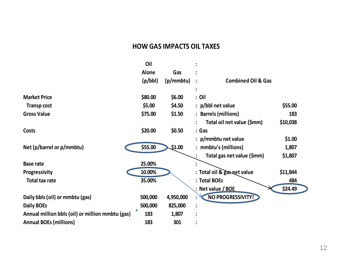|                                                  | Oil                                    |           |                               |          |
|--------------------------------------------------|----------------------------------------|-----------|-------------------------------|----------|
|                                                  | Alone                                  | Gas       |                               |          |
|                                                  | (p/bbl)<br>(p/mmbtu)<br>$\ddot{\cdot}$ |           | <b>Combined Oil &amp; Gas</b> |          |
|                                                  |                                        |           |                               |          |
| <b>Market Price</b>                              | \$80.00                                | \$6.00    | : Oil                         |          |
| <b>Transp cost</b>                               | \$5.00                                 | \$4.50    | $:$ p/bbl net value           | \$55.00  |
| <b>Gross Value</b>                               | \$75.00                                | \$1.50    | <b>Barrels (millions)</b>     | 183      |
|                                                  |                                        |           | Total oil net value (\$mm)    | \$10,038 |
| Costs                                            | \$20.00                                | \$0.50    | : Gas                         |          |
|                                                  |                                        |           | p/mmbtu net value             | \$1.00   |
| Net (p/barrel or p/mmbtu)                        | \$55.00                                | \$1.00    | mmbtu's (millions)            | 1,807    |
|                                                  |                                        |           | Total gas net value (\$mm)    | \$1,807  |
| <b>Base rate</b>                                 | 25.00%                                 |           |                               |          |
| Progressivity                                    | 10.00%                                 |           | : Total oil & gas net value   | \$11,844 |
| <b>Total tax rate</b>                            | 35.00%                                 |           | : Total BOEs                  | 484      |
|                                                  |                                        |           | : Net value / BOE             | \$24.49  |
| Daily bbls (oil) or mmbtu (gas)                  | 500,000                                | 4,950,000 | NO PROGRESSIVITY!             |          |
| <b>Daily BOEs</b>                                | 500,000                                | 825,000   |                               |          |
| Annual million bbls (oil) or million mmbtu (gas) | 183                                    | 1,807     |                               |          |
| <b>Annual BOEs (millions)</b>                    | 183                                    | 301       |                               |          |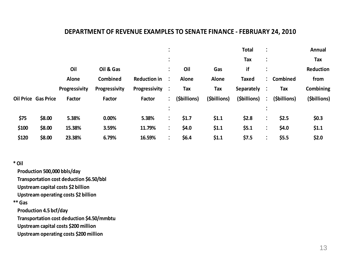#### **DEPARTMENT OF REVENUE EXAMPLES TO SENATE FINANCE - FEBRUARY 24, 2010**

| P 61 AU 11111611<br>ILLVLIVOL LIVIIIII LLJ I U<br>TEPROMINI ETI EUIU |                            |               |               |                     |                           |              |              |                   |                           |              |              |
|----------------------------------------------------------------------|----------------------------|---------------|---------------|---------------------|---------------------------|--------------|--------------|-------------------|---------------------------|--------------|--------------|
|                                                                      |                            |               |               |                     | $\bullet$<br>$\bullet$    |              |              | <b>Total</b>      |                           |              | Annual       |
|                                                                      |                            |               |               |                     | $\bullet$<br>$\cdot$      |              |              | Tax               |                           |              | Tax          |
|                                                                      |                            | Oil           | Oil & Gas     |                     | $\ddot{\cdot}$            | Oil          | Gas          | if                |                           |              | Reduction    |
|                                                                      |                            | Alone         | Combined      | <b>Reduction in</b> | $\ddot{\phantom{1}}$      | Alone        | <b>Alone</b> | <b>Taxed</b>      |                           | : Combined   | from         |
|                                                                      |                            | Progressivity | Progressivity | Progressivity       | $\ddot{\phantom{1}}$      | Tax          | Tax          | <b>Separately</b> | $\ddot{\phantom{1}}$      | Tax          | Combining    |
|                                                                      | <b>Oil Price Gas Price</b> | Factor        | Factor        | Factor              | $\mathbb{Z}^{\mathbb{Z}}$ | (\$billions) | (\$billions) | (\$billions)      | $\mathbb{R}^2$            | (\$billions) | (\$billions) |
|                                                                      |                            |               |               |                     | $\bullet$                 |              |              |                   |                           |              |              |
| \$75                                                                 | \$8.00                     | 5.38%         | 0.00%         | 5.38%               | $\ddot{\phantom{a}}$      | \$1.7        | \$1.1        | \$2.8             | $\ddot{\cdot}$            | \$2.5        | \$0.3\$      |
| \$100                                                                | \$8.00                     | 15.38%        | 3.59%         | 11.79%              | $\ddot{\cdot}$            | \$4.0\$      | \$1.1        | \$5.1             | ٠<br>$\ddot{\phantom{0}}$ | \$4.0        | \$1.1        |
| \$120                                                                | \$8.00                     | 23.38%        | 6.79%         | 16.59%              | $\ddot{\cdot}$            | \$6.4\$      | \$1.1        | \$7.5             |                           | \$5.5        | \$2.0        |

#### **\* Oil**

 **Production 500,000 bbls/day**

 **Transportation cost deduction \$6.50/bbl**

 **Upstream capital costs \$2 billion**

 **Upstream operating costs \$2 billion**

 **\*\* Gas** 

 **Production 4.5 bcf/day**

 **Transportation cost deduction \$4.50/mmbtu**

 **Upstream capital costs \$200 million**

 **Upstream operating costs \$200 million**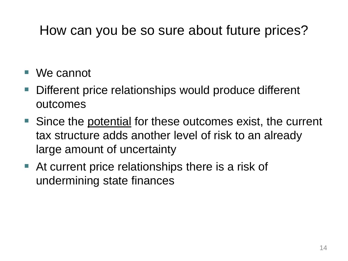### How can you be so sure about future prices?

- We cannot
- Different price relationships would produce different outcomes
- Since the potential for these outcomes exist, the current tax structure adds another level of risk to an already large amount of uncertainty
- At current price relationships there is a risk of undermining state finances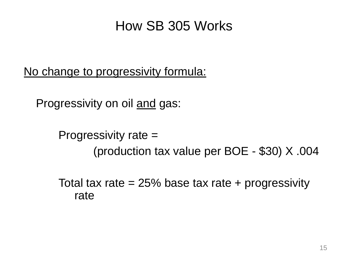### How SB 305 Works

No change to progressivity formula:

Progressivity on oil and gas:

Progressivity rate = (production tax value per BOE - \$30) X .004

Total tax rate  $= 25\%$  base tax rate + progressivity rate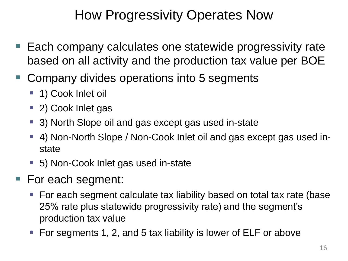### How Progressivity Operates Now

- Each company calculates one statewide progressivity rate based on all activity and the production tax value per BOE
- Company divides operations into 5 segments
	- 1) Cook Inlet oil
	- 2) Cook Inlet gas
	- 3) North Slope oil and gas except gas used in-state
	- 4) Non-North Slope / Non-Cook Inlet oil and gas except gas used instate
	- 5) Non-Cook Inlet gas used in-state
- For each segment:
	- For each segment calculate tax liability based on total tax rate (base 25% rate plus statewide progressivity rate) and the segment's production tax value
	- For segments 1, 2, and 5 tax liability is lower of ELF or above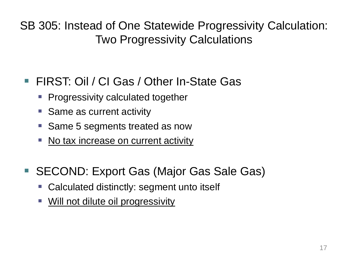SB 305: Instead of One Statewide Progressivity Calculation: Two Progressivity Calculations

### ■ FIRST: Oil / CI Gas / Other In-State Gas

- Progressivity calculated together
- **Same as current activity**
- Same 5 segments treated as now
- No tax increase on current activity
- SECOND: Export Gas (Major Gas Sale Gas)
	- Calculated distinctly: segment unto itself
	- **Will not dilute oil progressivity**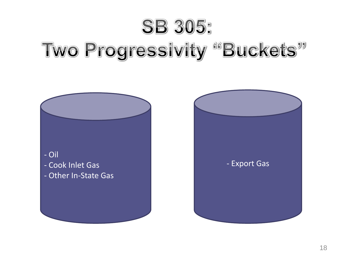# **SB 305:** Two Progressivity "Buckets"



- Cook Inlet Gas
- Other In-State Gas

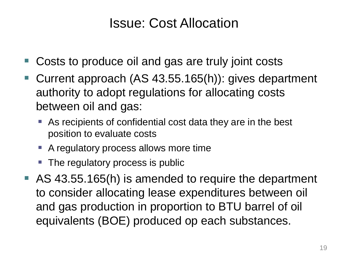### Issue: Cost Allocation

- Costs to produce oil and gas are truly joint costs
- Current approach (AS 43.55.165(h)): gives department authority to adopt regulations for allocating costs between oil and gas:
	- As recipients of confidential cost data they are in the best position to evaluate costs
	- A regulatory process allows more time
	- The regulatory process is public
- AS 43.55.165(h) is amended to require the department to consider allocating lease expenditures between oil and gas production in proportion to BTU barrel of oil equivalents (BOE) produced op each substances.